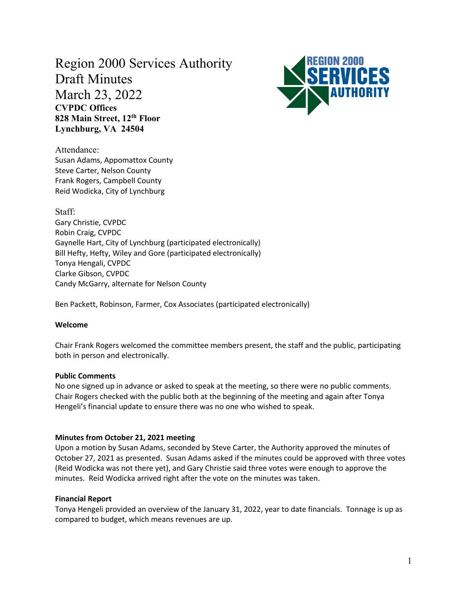# Region 2000 Services Authority Draft Minutes March 23, 2022 **CVPDC Offices 828 Main Street, 12th Floor Lynchburg, VA 24504**



Attendance: Susan Adams, Appomattox County Steve Carter, Nelson County Frank Rogers, Campbell County Reid Wodicka, City of Lynchburg

Staff: Gary Christie, CVPDC Robin Craig, CVPDC Gaynelle Hart, City of Lynchburg (participated electronically) Bill Hefty, Hefty, Wiley and Gore (participated electronically) Tonya Hengali, CVPDC Clarke Gibson, CVPDC Candy McGarry, alternate for Nelson County

Ben Packett, Robinson, Farmer, Cox Associates (participated electronically)

# **Welcome**

Chair Frank Rogers welcomed the committee members present, the staff and the public, participating both in person and electronically.

# **Public Comments**

No one signed up in advance or asked to speak at the meeting, so there were no public comments. Chair Rogers checked with the public both at the beginning of the meeting and again after Tonya Hengeli's financial update to ensure there was no one who wished to speak.

# **Minutes from October 21, 2021 meeting**

Upon a motion by Susan Adams, seconded by Steve Carter, the Authority approved the minutes of October 27, 2021 as presented. Susan Adams asked if the minutes could be approved with three votes (Reid Wodicka was not there yet), and Gary Christie said three votes were enough to approve the minutes. Reid Wodicka arrived right after the vote on the minutes was taken.

# **Financial Report**

Tonya Hengeli provided an overview of the January 31, 2022, year to date financials. Tonnage is up as compared to budget, which means revenues are up.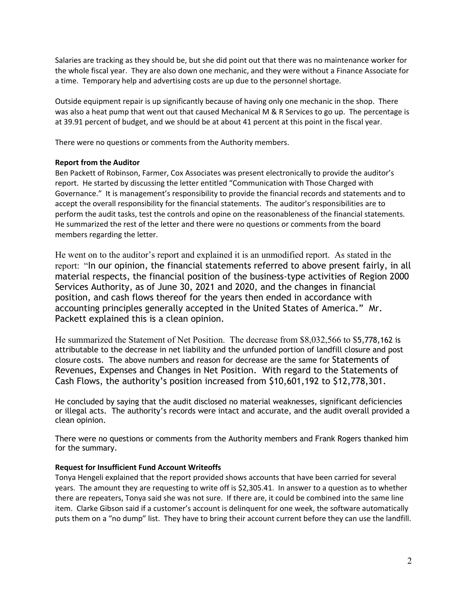Salaries are tracking as they should be, but she did point out that there was no maintenance worker for the whole fiscal year. They are also down one mechanic, and they were without a Finance Associate for a time. Temporary help and advertising costs are up due to the personnel shortage.

Outside equipment repair is up significantly because of having only one mechanic in the shop. There was also a heat pump that went out that caused Mechanical M & R Services to go up. The percentage is at 39.91 percent of budget, and we should be at about 41 percent at this point in the fiscal year.

There were no questions or comments from the Authority members.

# **Report from the Auditor**

Ben Packett of Robinson, Farmer, Cox Associates was present electronically to provide the auditor's report. He started by discussing the letter entitled "Communication with Those Charged with Governance." It is management's responsibility to provide the financial records and statements and to accept the overall responsibility for the financial statements. The auditor's responsibilities are to perform the audit tasks, test the controls and opine on the reasonableness of the financial statements. He summarized the rest of the letter and there were no questions or comments from the board members regarding the letter.

He went on to the auditor's report and explained it is an unmodified report. As stated in the report: "In our opinion, the financial statements referred to above present fairly, in all material respects, the financial position of the business-type activities of Region 2000 Services Authority, as of June 30, 2021 and 2020, and the changes in financial position, and cash flows thereof for the years then ended in accordance with accounting principles generally accepted in the United States of America." Mr. Packett explained this is a clean opinion.

He summarized the Statement of Net Position. The decrease from \$8,032,566 to \$5,778,162 is attributable to the decrease in net liability and the unfunded portion of landfill closure and post closure costs. The above numbers and reason for decrease are the same for Statements of Revenues, Expenses and Changes in Net Position. With regard to the Statements of Cash Flows, the authority's position increased from \$10,601,192 to \$12,778,301.

He concluded by saying that the audit disclosed no material weaknesses, significant deficiencies or illegal acts. The authority's records were intact and accurate, and the audit overall provided a clean opinion.

There were no questions or comments from the Authority members and Frank Rogers thanked him for the summary.

# **Request for Insufficient Fund Account Writeoffs**

Tonya Hengeli explained that the report provided shows accounts that have been carried for several years. The amount they are requesting to write off is \$2,305.41. In answer to a question as to whether there are repeaters, Tonya said she was not sure. If there are, it could be combined into the same line item. Clarke Gibson said if a customer's account is delinquent for one week, the software automatically puts them on a "no dump" list. They have to bring their account current before they can use the landfill.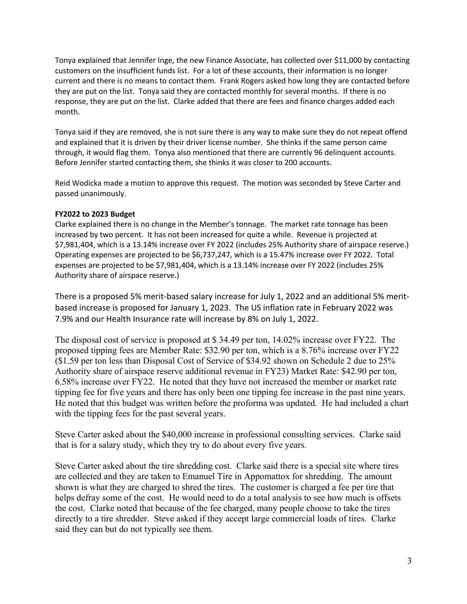Tonya explained that Jennifer Inge, the new Finance Associate, has collected over \$11,000 by contacting customers on the insufficient funds list. For a lot of these accounts, their information is no longer current and there is no means to contact them. Frank Rogers asked how long they are contacted before they are put on the list. Tonya said they are contacted monthly for several months. If there is no response, they are put on the list. Clarke added that there are fees and finance charges added each month.

Tonya said if they are removed, she is not sure there is any way to make sure they do not repeat offend and explained that it is driven by their driver license number. She thinks if the same person came through, it would flag them. Tonya also mentioned that there are currently 96 delinquent accounts. Before Jennifer started contacting them, she thinks it was closer to 200 accounts.

Reid Wodicka made a motion to approve this request. The motion was seconded by Steve Carter and passed unanimously.

# **FY2022 to 2023 Budget**

Clarke explained there is no change in the Member's tonnage. The market rate tonnage has been increased by two percent. It has not been increased for quite a while. Revenue is projected at \$7,981,404, which is a 13.14% increase over FY 2022 (includes 25% Authority share of airspace reserve.) Operating expenses are projected to be \$6,737,247, which is a 15.47% increase over FY 2022. Total expenses are projected to be \$7,981,404, which is a 13.14% increase over FY 2022 (includes 25% Authority share of airspace reserve.)

There is a proposed 5% merit-based salary increase for July 1, 2022 and an additional 5% meritbased increase is proposed for January 1, 2023. The US inflation rate in February 2022 was 7.9% and our Health Insurance rate will increase by 8% on July 1, 2022.

The disposal cost of service is proposed at \$ 34.49 per ton, 14.02% increase over FY22. The proposed tipping fees are Member Rate: \$32.90 per ton, which is a 8.76% increase over FY22 (\$1.59 per ton less than Disposal Cost of Service of \$34.92 shown on Schedule 2 due to 25% Authority share of airspace reserve additional revenue in FY23) Market Rate: \$42.90 per ton, 6.58% increase over FY22. He noted that they have not increased the member or market rate tipping fee for five years and there has only been one tipping fee increase in the past nine years. He noted that this budget was written before the proforma was updated. He had included a chart with the tipping fees for the past several years.

Steve Carter asked about the \$40,000 increase in professional consulting services. Clarke said that is for a salary study, which they try to do about every five years.

Steve Carter asked about the tire shredding cost. Clarke said there is a special site where tires are collected and they are taken to Emanuel Tire in Appomattox for shredding. The amount shown is what they are charged to shred the tires. The customer is charged a fee per tire that helps defray some of the cost. He would need to do a total analysis to see how much is offsets the cost. Clarke noted that because of the fee charged, many people choose to take the tires directly to a tire shredder. Steve asked if they accept large commercial loads of tires. Clarke said they can but do not typically see them.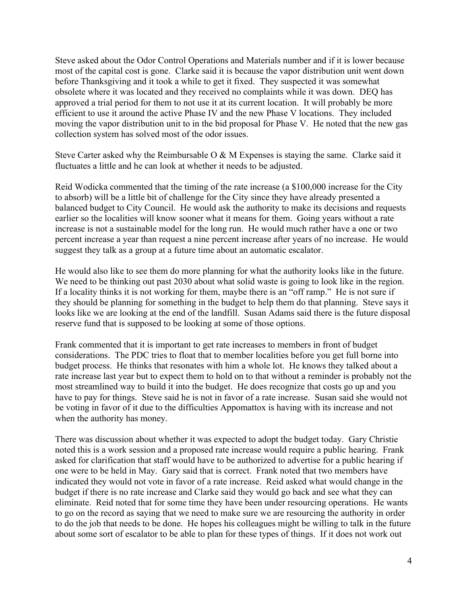Steve asked about the Odor Control Operations and Materials number and if it is lower because most of the capital cost is gone. Clarke said it is because the vapor distribution unit went down before Thanksgiving and it took a while to get it fixed. They suspected it was somewhat obsolete where it was located and they received no complaints while it was down. DEQ has approved a trial period for them to not use it at its current location. It will probably be more efficient to use it around the active Phase IV and the new Phase V locations. They included moving the vapor distribution unit to in the bid proposal for Phase V. He noted that the new gas collection system has solved most of the odor issues.

Steve Carter asked why the Reimbursable O & M Expenses is staying the same. Clarke said it fluctuates a little and he can look at whether it needs to be adjusted.

Reid Wodicka commented that the timing of the rate increase (a \$100,000 increase for the City to absorb) will be a little bit of challenge for the City since they have already presented a balanced budget to City Council. He would ask the authority to make its decisions and requests earlier so the localities will know sooner what it means for them. Going years without a rate increase is not a sustainable model for the long run. He would much rather have a one or two percent increase a year than request a nine percent increase after years of no increase. He would suggest they talk as a group at a future time about an automatic escalator.

He would also like to see them do more planning for what the authority looks like in the future. We need to be thinking out past 2030 about what solid waste is going to look like in the region. If a locality thinks it is not working for them, maybe there is an "off ramp." He is not sure if they should be planning for something in the budget to help them do that planning. Steve says it looks like we are looking at the end of the landfill. Susan Adams said there is the future disposal reserve fund that is supposed to be looking at some of those options.

Frank commented that it is important to get rate increases to members in front of budget considerations. The PDC tries to float that to member localities before you get full borne into budget process. He thinks that resonates with him a whole lot. He knows they talked about a rate increase last year but to expect them to hold on to that without a reminder is probably not the most streamlined way to build it into the budget. He does recognize that costs go up and you have to pay for things. Steve said he is not in favor of a rate increase. Susan said she would not be voting in favor of it due to the difficulties Appomattox is having with its increase and not when the authority has money.

There was discussion about whether it was expected to adopt the budget today. Gary Christie noted this is a work session and a proposed rate increase would require a public hearing. Frank asked for clarification that staff would have to be authorized to advertise for a public hearing if one were to be held in May. Gary said that is correct. Frank noted that two members have indicated they would not vote in favor of a rate increase. Reid asked what would change in the budget if there is no rate increase and Clarke said they would go back and see what they can eliminate. Reid noted that for some time they have been under resourcing operations. He wants to go on the record as saying that we need to make sure we are resourcing the authority in order to do the job that needs to be done. He hopes his colleagues might be willing to talk in the future about some sort of escalator to be able to plan for these types of things. If it does not work out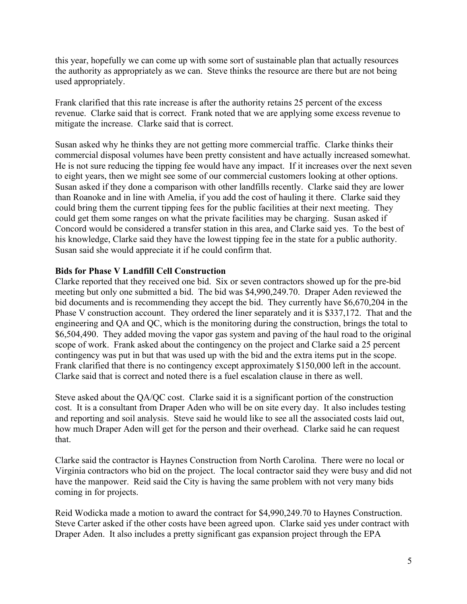this year, hopefully we can come up with some sort of sustainable plan that actually resources the authority as appropriately as we can. Steve thinks the resource are there but are not being used appropriately.

Frank clarified that this rate increase is after the authority retains 25 percent of the excess revenue. Clarke said that is correct. Frank noted that we are applying some excess revenue to mitigate the increase. Clarke said that is correct.

Susan asked why he thinks they are not getting more commercial traffic. Clarke thinks their commercial disposal volumes have been pretty consistent and have actually increased somewhat. He is not sure reducing the tipping fee would have any impact. If it increases over the next seven to eight years, then we might see some of our commercial customers looking at other options. Susan asked if they done a comparison with other landfills recently. Clarke said they are lower than Roanoke and in line with Amelia, if you add the cost of hauling it there. Clarke said they could bring them the current tipping fees for the public facilities at their next meeting. They could get them some ranges on what the private facilities may be charging. Susan asked if Concord would be considered a transfer station in this area, and Clarke said yes. To the best of his knowledge, Clarke said they have the lowest tipping fee in the state for a public authority. Susan said she would appreciate it if he could confirm that.

# **Bids for Phase V Landfill Cell Construction**

Clarke reported that they received one bid. Six or seven contractors showed up for the pre-bid meeting but only one submitted a bid. The bid was \$4,990,249.70. Draper Aden reviewed the bid documents and is recommending they accept the bid. They currently have \$6,670,204 in the Phase V construction account. They ordered the liner separately and it is \$337,172. That and the engineering and QA and QC, which is the monitoring during the construction, brings the total to \$6,504,490. They added moving the vapor gas system and paving of the haul road to the original scope of work. Frank asked about the contingency on the project and Clarke said a 25 percent contingency was put in but that was used up with the bid and the extra items put in the scope. Frank clarified that there is no contingency except approximately \$150,000 left in the account. Clarke said that is correct and noted there is a fuel escalation clause in there as well.

Steve asked about the QA/QC cost. Clarke said it is a significant portion of the construction cost. It is a consultant from Draper Aden who will be on site every day. It also includes testing and reporting and soil analysis. Steve said he would like to see all the associated costs laid out, how much Draper Aden will get for the person and their overhead. Clarke said he can request that.

Clarke said the contractor is Haynes Construction from North Carolina. There were no local or Virginia contractors who bid on the project. The local contractor said they were busy and did not have the manpower. Reid said the City is having the same problem with not very many bids coming in for projects.

Reid Wodicka made a motion to award the contract for \$4,990,249.70 to Haynes Construction. Steve Carter asked if the other costs have been agreed upon. Clarke said yes under contract with Draper Aden. It also includes a pretty significant gas expansion project through the EPA